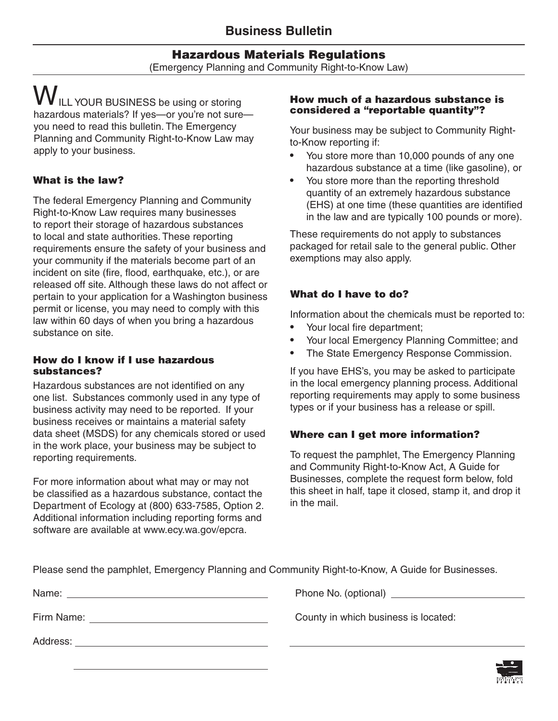# **Hazardous Materials Regulations**

(Emergency Planning and Community Right-to-Know Law)

**W** ILL YOUR BUSINESS be using or storing hazardous materials? If yes—or you're not sure you need to read this bulletin. The Emergency Planning and Community Right-to-Know Law may apply to your business.

# **What is the law?**

The federal Emergency Planning and Community Right-to-Know Law requires many businesses to report their storage of hazardous substances to local and state authorities. These reporting requirements ensure the safety of your business and your community if the materials become part of an incident on site (fire, flood, earthquake, etc.), or are released off site. Although these laws do not affect or pertain to your application for a Washington business permit or license, you may need to comply with this law within 60 days of when you bring a hazardous substance on site.

#### **How do I know if I use hazardous substances?**

Hazardous substances are not identified on any one list. Substances commonly used in any type of business activity may need to be reported. If your business receives or maintains a material safety data sheet (MSDS) for any chemicals stored or used in the work place, your business may be subject to reporting requirements.

For more information about what may or may not be classified as a hazardous substance, contact the Department of Ecology at (800) 633-7585, Option 2. Additional information including reporting forms and software are available at www.ecy.wa.gov/epcra.

#### **How much of a hazardous substance is considered a "reportable quantity"?**

Your business may be subject to Community Rightto-Know reporting if:

- You store more than 10,000 pounds of any one hazardous substance at a time (like gasoline), or
- You store more than the reporting threshold quantity of an extremely hazardous substance (EHS) at one time (these quantities are identified in the law and are typically 100 pounds or more).

These requirements do not apply to substances packaged for retail sale to the general public. Other exemptions may also apply.

## **What do I have to do?**

Information about the chemicals must be reported to:

- Your local fire department;
- Your local Emergency Planning Committee; and
- The State Emergency Response Commission.

If you have EHS's, you may be asked to participate in the local emergency planning process. Additional reporting requirements may apply to some business types or if your business has a release or spill.

## **Where can I get more information?**

To request the pamphlet, The Emergency Planning and Community Right-to-Know Act, A Guide for Businesses, complete the request form below, fold this sheet in half, tape it closed, stamp it, and drop it in the mail.

|  |  | Please send the pamphlet, Emergency Planning and Community Right-to-Know, A Guide for Businesses. |
|--|--|---------------------------------------------------------------------------------------------------|

| Name: |  |  |  |
|-------|--|--|--|
|       |  |  |  |

Address:

Phone No. (optional)

Firm Name: County in which business is located: